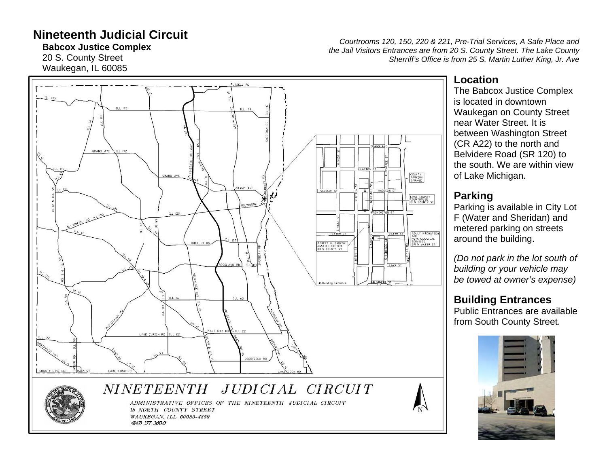## **Nineteenth Judicial Circuit**

**Babcox Justice Complex**

20 S. County Street Waukegan, IL 60085

*Courtrooms 120, 150, 220 & 221, Pre-Trial Services, A Safe Place and the Jail Visitors Entrances are from 20 S. County Street. The Lake County Sherriff's Office is from 25 S. Martin Luther King, Jr. Ave* 

# RUSSELL AD  $11.172$ GRAND AVE COUNTY<br>PARKING<br>GARAGE LAKE COUNTY<br>COURTHOUSE<br>IB N COUNTY ST BELVIDERE  $CLL$  120 ADULT PROBATION<br>PSYCHOLOGICAL<br>SERVICES<br>215 W WATER ST **ATER ST** ROBERT H. BABCOX<br>JUSTICE CENTER<br>2D S COUNTY ST **BUCKLEY B** DEERFIELD RD COUNTY LINE RD *NINETEENTH* JUDICIAL CIRCUIT ADMINISTRATIVE OFFICES OF THE NINETEENTH JUDICIAL CIRCUIT 18 NORTH COUNTY STREET WAUKEGAN, ILL 60085-4359 (847) 377-3600

## **Location**

The Babcox Justice Complex is located in downtown Waukegan on County Street near Water Street. It is between Washington Street (CR A22) to the north and Belvidere Road (SR 120) to the south. We are within view of Lake Michigan.

## **Parking**

Parking is available in City Lot F (Water and Sheridan) and metered parking on streets around the building.

*(Do not park in the lot south of building or your vehicle may be towed at owner's expense)*

## **Building Entrances**

Public Entrances are available from South County Street.